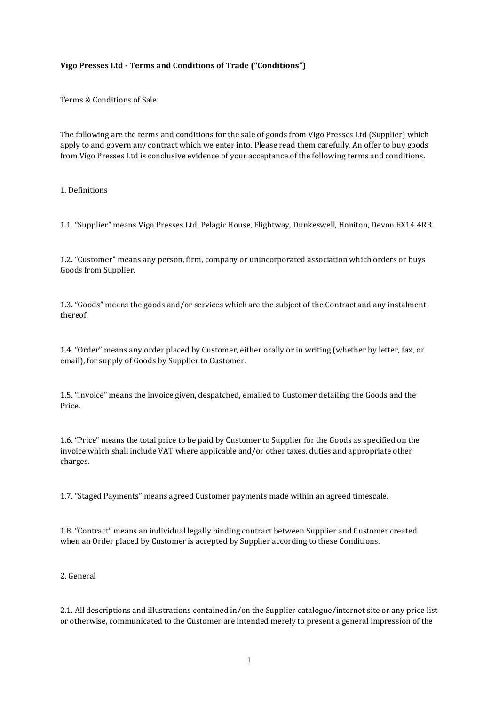# **Vigo Presses Ltd - Terms and Conditions of Trade ("Conditions")**

Terms & Conditions of Sale

The following are the terms and conditions for the sale of goods from Vigo Presses Ltd (Supplier) which apply to and govern any contract which we enter into. Please read them carefully. An offer to buy goods from Vigo Presses Ltd is conclusive evidence of your acceptance of the following terms and conditions.

### 1. Definitions

1.1. "Supplier" means Vigo Presses Ltd, Pelagic House, Flightway, Dunkeswell, Honiton, Devon EX14 4RB.

1.2. "Customer" means any person, firm, company or unincorporated association which orders or buys Goods from Supplier.

1.3. "Goods" means the goods and/or services which are the subject of the Contract and any instalment thereof.

1.4. "Order" means any order placed by Customer, either orally or in writing (whether by letter, fax, or email), for supply of Goods by Supplier to Customer.

1.5. "Invoice" means the invoice given, despatched, emailed to Customer detailing the Goods and the Price.

1.6. "Price" means the total price to be paid by Customer to Supplier for the Goods as specified on the invoice which shall include VAT where applicable and/or other taxes, duties and appropriate other charges.

1.7. "Staged Payments" means agreed Customer payments made within an agreed timescale.

1.8. "Contract" means an individual legally binding contract between Supplier and Customer created when an Order placed by Customer is accepted by Supplier according to these Conditions.

2. General

2.1. All descriptions and illustrations contained in/on the Supplier catalogue/internet site or any price list or otherwise, communicated to the Customer are intended merely to present a general impression of the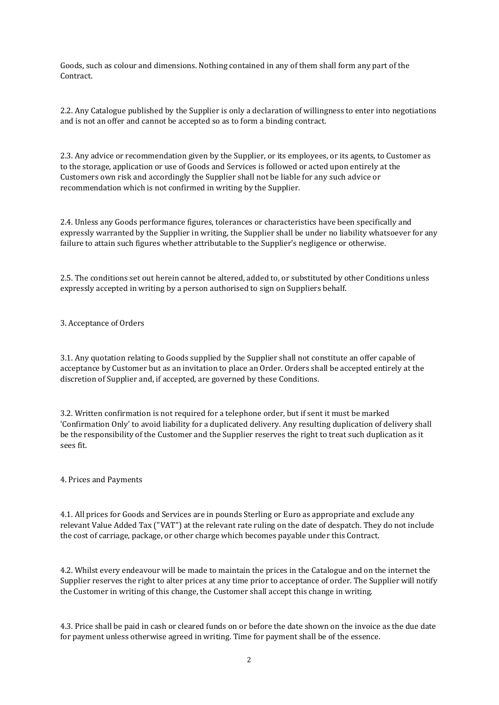Goods, such as colour and dimensions. Nothing contained in any of them shall form any part of the **Contract** 

2.2. Any Catalogue published by the Supplier is only a declaration of willingness to enter into negotiations and is not an offer and cannot be accepted so as to form a binding contract.

2.3. Any advice or recommendation given by the Supplier, or its employees, or its agents, to Customer as to the storage, application or use of Goods and Services is followed or acted upon entirely at the Customers own risk and accordingly the Supplier shall not be liable for any such advice or recommendation which is not confirmed in writing by the Supplier.

2.4. Unless any Goods performance figures, tolerances or characteristics have been specifically and expressly warranted by the Supplier in writing, the Supplier shall be under no liability whatsoever for any failure to attain such figures whether attributable to the Supplier's negligence or otherwise.

2.5. The conditions set out herein cannot be altered, added to, or substituted by other Conditions unless expressly accepted in writing by a person authorised to sign on Suppliers behalf.

3. Acceptance of Orders

3.1. Any quotation relating to Goods supplied by the Supplier shall not constitute an offer capable of acceptance by Customer but as an invitation to place an Order. Orders shall be accepted entirely at the discretion of Supplier and, if accepted, are governed by these Conditions.

3.2. Written confirmation is not required for a telephone order, but if sent it must be marked 'Confirmation Only' to avoid liability for a duplicated delivery. Any resulting duplication of delivery shall be the responsibility of the Customer and the Supplier reserves the right to treat such duplication as it sees fit.

## 4. Prices and Payments

4.1. All prices for Goods and Services are in pounds Sterling or Euro as appropriate and exclude any relevant Value Added Tax ("VAT") at the relevant rate ruling on the date of despatch. They do not include the cost of carriage, package, or other charge which becomes payable under this Contract.

4.2. Whilst every endeavour will be made to maintain the prices in the Catalogue and on the internet the Supplier reserves the right to alter prices at any time prior to acceptance of order. The Supplier will notify the Customer in writing of this change, the Customer shall accept this change in writing.

4.3. Price shall be paid in cash or cleared funds on or before the date shown on the invoice as the due date for payment unless otherwise agreed in writing. Time for payment shall be of the essence.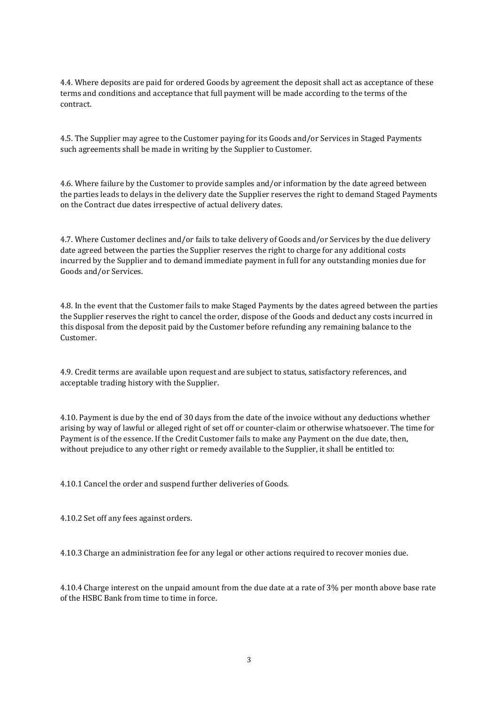4.4. Where deposits are paid for ordered Goods by agreement the deposit shall act as acceptance of these terms and conditions and acceptance that full payment will be made according to the terms of the contract.

4.5. The Supplier may agree to the Customer paying for its Goods and/or Services in Staged Payments such agreements shall be made in writing by the Supplier to Customer.

4.6. Where failure by the Customer to provide samples and/or information by the date agreed between the parties leads to delays in the delivery date the Supplier reserves the right to demand Staged Payments on the Contract due dates irrespective of actual delivery dates.

4.7. Where Customer declines and/or fails to take delivery of Goods and/or Services by the due delivery date agreed between the parties the Supplier reserves the right to charge for any additional costs incurred by the Supplier and to demand immediate payment in full for any outstanding monies due for Goods and/or Services.

4.8. In the event that the Customer fails to make Staged Payments by the dates agreed between the parties the Supplier reserves the right to cancel the order, dispose of the Goods and deduct any costs incurred in this disposal from the deposit paid by the Customer before refunding any remaining balance to the Customer.

4.9. Credit terms are available upon request and are subject to status, satisfactory references, and acceptable trading history with the Supplier.

4.10. Payment is due by the end of 30 days from the date of the invoice without any deductions whether arising by way of lawful or alleged right of set off or counter-claim or otherwise whatsoever. The time for Payment is of the essence. If the Credit Customer fails to make any Payment on the due date, then, without prejudice to any other right or remedy available to the Supplier, it shall be entitled to:

4.10.1 Cancel the order and suspend further deliveries of Goods.

4.10.2 Set off any fees against orders.

4.10.3 Charge an administration fee for any legal or other actions required to recover monies due.

4.10.4 Charge interest on the unpaid amount from the due date at a rate of 3% per month above base rate of the HSBC Bank from time to time in force.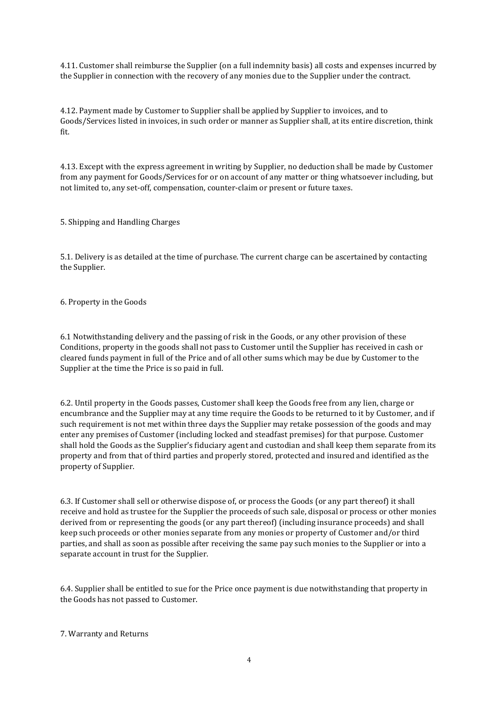4.11. Customer shall reimburse the Supplier (on a full indemnity basis) all costs and expenses incurred by the Supplier in connection with the recovery of any monies due to the Supplier under the contract.

4.12. Payment made by Customer to Supplier shall be applied by Supplier to invoices, and to Goods/Services listed in invoices, in such order or manner as Supplier shall, at its entire discretion, think fit.

4.13. Except with the express agreement in writing by Supplier, no deduction shall be made by Customer from any payment for Goods/Services for or on account of any matter or thing whatsoever including, but not limited to, any set-off, compensation, counter-claim or present or future taxes.

5. Shipping and Handling Charges

5.1. Delivery is as detailed at the time of purchase. The current charge can be ascertained by contacting the Supplier.

6. Property in the Goods

6.1 Notwithstanding delivery and the passing of risk in the Goods, or any other provision of these Conditions, property in the goods shall not pass to Customer until the Supplier has received in cash or cleared funds payment in full of the Price and of all other sums which may be due by Customer to the Supplier at the time the Price is so paid in full.

6.2. Until property in the Goods passes, Customer shall keep the Goods free from any lien, charge or encumbrance and the Supplier may at any time require the Goods to be returned to it by Customer, and if such requirement is not met within three days the Supplier may retake possession of the goods and may enter any premises of Customer (including locked and steadfast premises) for that purpose. Customer shall hold the Goods as the Supplier's fiduciary agent and custodian and shall keep them separate from its property and from that of third parties and properly stored, protected and insured and identified as the property of Supplier.

6.3. If Customer shall sell or otherwise dispose of, or process the Goods (or any part thereof) it shall receive and hold as trustee for the Supplier the proceeds of such sale, disposal or process or other monies derived from or representing the goods (or any part thereof) (including insurance proceeds) and shall keep such proceeds or other monies separate from any monies or property of Customer and/or third parties, and shall as soon as possible after receiving the same pay such monies to the Supplier or into a separate account in trust for the Supplier.

6.4. Supplier shall be entitled to sue for the Price once payment is due notwithstanding that property in the Goods has not passed to Customer.

7. Warranty and Returns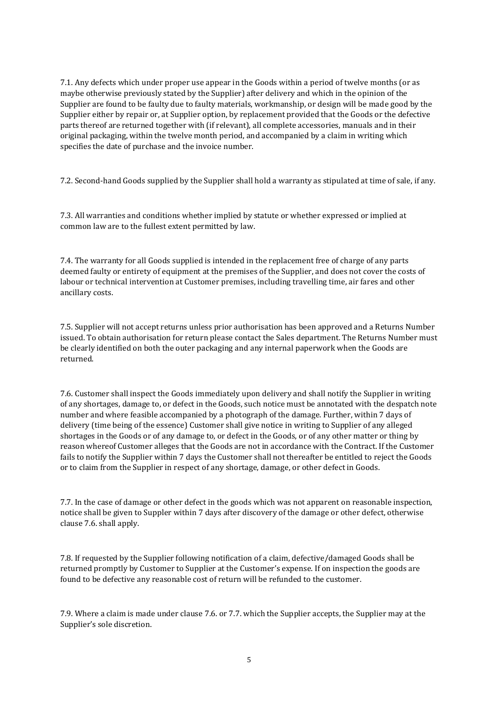7.1. Any defects which under proper use appear in the Goods within a period of twelve months (or as maybe otherwise previously stated by the Supplier) after delivery and which in the opinion of the Supplier are found to be faulty due to faulty materials, workmanship, or design will be made good by the Supplier either by repair or, at Supplier option, by replacement provided that the Goods or the defective parts thereof are returned together with (if relevant), all complete accessories, manuals and in their original packaging, within the twelve month period, and accompanied by a claim in writing which specifies the date of purchase and the invoice number.

7.2. Second-hand Goods supplied by the Supplier shall hold a warranty as stipulated at time of sale, if any.

7.3. All warranties and conditions whether implied by statute or whether expressed or implied at common law are to the fullest extent permitted by law.

7.4. The warranty for all Goods supplied is intended in the replacement free of charge of any parts deemed faulty or entirety of equipment at the premises of the Supplier, and does not cover the costs of labour or technical intervention at Customer premises, including travelling time, air fares and other ancillary costs.

7.5. Supplier will not accept returns unless prior authorisation has been approved and a Returns Number issued. To obtain authorisation for return please contact the Sales department. The Returns Number must be clearly identified on both the outer packaging and any internal paperwork when the Goods are returned.

7.6. Customer shall inspect the Goods immediately upon delivery and shall notify the Supplier in writing of any shortages, damage to, or defect in the Goods, such notice must be annotated with the despatch note number and where feasible accompanied by a photograph of the damage. Further, within 7 days of delivery (time being of the essence) Customer shall give notice in writing to Supplier of any alleged shortages in the Goods or of any damage to, or defect in the Goods, or of any other matter or thing by reason whereof Customer alleges that the Goods are not in accordance with the Contract. If the Customer fails to notify the Supplier within 7 days the Customer shall not thereafter be entitled to reject the Goods or to claim from the Supplier in respect of any shortage, damage, or other defect in Goods.

7.7. In the case of damage or other defect in the goods which was not apparent on reasonable inspection, notice shall be given to Suppler within 7 days after discovery of the damage or other defect, otherwise clause 7.6. shall apply.

7.8. If requested by the Supplier following notification of a claim, defective/damaged Goods shall be returned promptly by Customer to Supplier at the Customer's expense. If on inspection the goods are found to be defective any reasonable cost of return will be refunded to the customer.

7.9. Where a claim is made under clause 7.6. or 7.7. which the Supplier accepts, the Supplier may at the Supplier's sole discretion.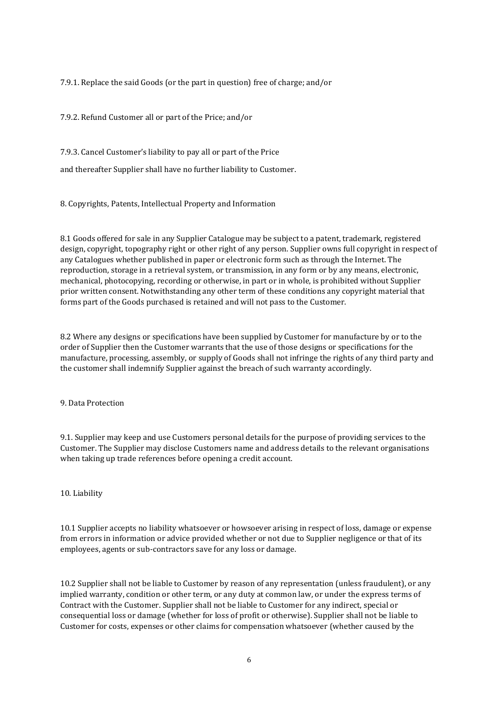7.9.1. Replace the said Goods (or the part in question) free of charge; and/or

7.9.2. Refund Customer all or part of the Price; and/or

7.9.3. Cancel Customer's liability to pay all or part of the Price

and thereafter Supplier shall have no further liability to Customer.

8. Copyrights, Patents, Intellectual Property and Information

8.1 Goods offered for sale in any Supplier Catalogue may be subject to a patent, trademark, registered design, copyright, topography right or other right of any person. Supplier owns full copyright in respect of any Catalogues whether published in paper or electronic form such as through the Internet. The reproduction, storage in a retrieval system, or transmission, in any form or by any means, electronic, mechanical, photocopying, recording or otherwise, in part or in whole, is prohibited without Supplier prior written consent. Notwithstanding any other term of these conditions any copyright material that forms part of the Goods purchased is retained and will not pass to the Customer.

8.2 Where any designs or specifications have been supplied by Customer for manufacture by or to the order of Supplier then the Customer warrants that the use of those designs or specifications for the manufacture, processing, assembly, or supply of Goods shall not infringe the rights of any third party and the customer shall indemnify Supplier against the breach of such warranty accordingly.

## 9. Data Protection

9.1. Supplier may keep and use Customers personal details for the purpose of providing services to the Customer. The Supplier may disclose Customers name and address details to the relevant organisations when taking up trade references before opening a credit account.

## 10. Liability

10.1 Supplier accepts no liability whatsoever or howsoever arising in respect of loss, damage or expense from errors in information or advice provided whether or not due to Supplier negligence or that of its employees, agents or sub-contractors save for any loss or damage.

10.2 Supplier shall not be liable to Customer by reason of any representation (unless fraudulent), or any implied warranty, condition or other term, or any duty at common law, or under the express terms of Contract with the Customer. Supplier shall not be liable to Customer for any indirect, special or consequential loss or damage (whether for loss of profit or otherwise). Supplier shall not be liable to Customer for costs, expenses or other claims for compensation whatsoever (whether caused by the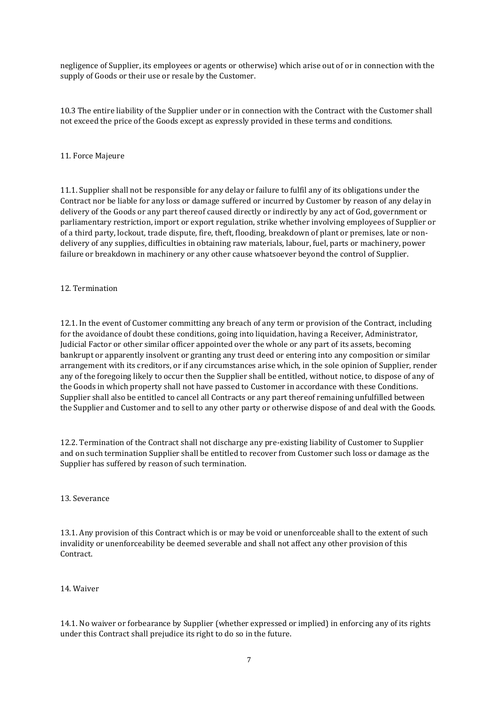negligence of Supplier, its employees or agents or otherwise) which arise out of or in connection with the supply of Goods or their use or resale by the Customer.

10.3 The entire liability of the Supplier under or in connection with the Contract with the Customer shall not exceed the price of the Goods except as expressly provided in these terms and conditions.

### 11. Force Majeure

11.1. Supplier shall not be responsible for any delay or failure to fulfil any of its obligations under the Contract nor be liable for any loss or damage suffered or incurred by Customer by reason of any delay in delivery of the Goods or any part thereof caused directly or indirectly by any act of God, government or parliamentary restriction, import or export regulation, strike whether involving employees of Supplier or of a third party, lockout, trade dispute, fire, theft, flooding, breakdown of plant or premises, late or nondelivery of any supplies, difficulties in obtaining raw materials, labour, fuel, parts or machinery, power failure or breakdown in machinery or any other cause whatsoever beyond the control of Supplier.

### 12. Termination

12.1. In the event of Customer committing any breach of any term or provision of the Contract, including for the avoidance of doubt these conditions, going into liquidation, having a Receiver, Administrator, Judicial Factor or other similar officer appointed over the whole or any part of its assets, becoming bankrupt or apparently insolvent or granting any trust deed or entering into any composition or similar arrangement with its creditors, or if any circumstances arise which, in the sole opinion of Supplier, render any of the foregoing likely to occur then the Supplier shall be entitled, without notice, to dispose of any of the Goods in which property shall not have passed to Customer in accordance with these Conditions. Supplier shall also be entitled to cancel all Contracts or any part thereof remaining unfulfilled between the Supplier and Customer and to sell to any other party or otherwise dispose of and deal with the Goods.

12.2. Termination of the Contract shall not discharge any pre-existing liability of Customer to Supplier and on such termination Supplier shall be entitled to recover from Customer such loss or damage as the Supplier has suffered by reason of such termination.

#### 13. Severance

13.1. Any provision of this Contract which is or may be void or unenforceable shall to the extent of such invalidity or unenforceability be deemed severable and shall not affect any other provision of this Contract.

#### 14. Waiver

14.1. No waiver or forbearance by Supplier (whether expressed or implied) in enforcing any of its rights under this Contract shall prejudice its right to do so in the future.